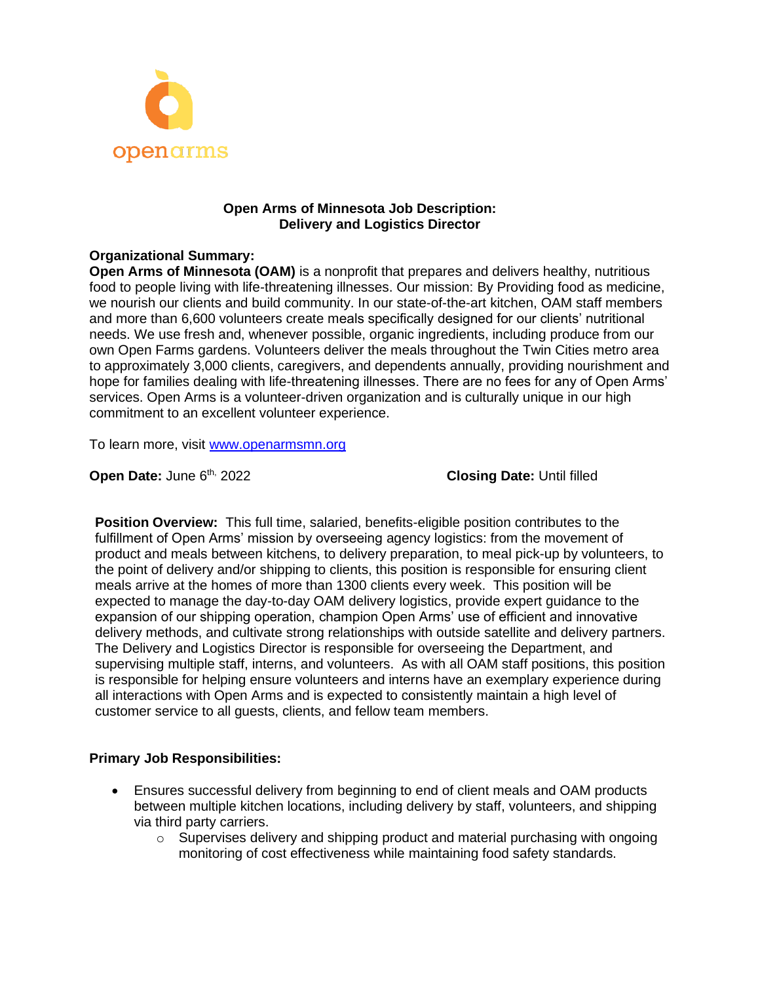

## **Open Arms of Minnesota Job Description: Delivery and Logistics Director**

# **Organizational Summary:**

**Open Arms of Minnesota (OAM)** is a nonprofit that prepares and delivers healthy, nutritious food to people living with life-threatening illnesses. Our mission: By Providing food as medicine, we nourish our clients and build community. In our state-of-the-art kitchen, OAM staff members and more than 6,600 volunteers create meals specifically designed for our clients' nutritional needs. We use fresh and, whenever possible, organic ingredients, including produce from our own Open Farms gardens. Volunteers deliver the meals throughout the Twin Cities metro area to approximately 3,000 clients, caregivers, and dependents annually, providing nourishment and hope for families dealing with life-threatening illnesses. There are no fees for any of Open Arms' services. Open Arms is a volunteer-driven organization and is culturally unique in our high commitment to an excellent volunteer experience.

To learn more, visit [www.openarmsmn.org](http://www.openarmsmn.org/)

**Open Date: June 6th, 2022** 

**Closing Date: Until filled** 

**Position Overview:** This full time, salaried, benefits-eligible position contributes to the fulfillment of Open Arms' mission by overseeing agency logistics: from the movement of product and meals between kitchens, to delivery preparation, to meal pick-up by volunteers, to the point of delivery and/or shipping to clients, this position is responsible for ensuring client meals arrive at the homes of more than 1300 clients every week. This position will be expected to manage the day-to-day OAM delivery logistics, provide expert guidance to the expansion of our shipping operation, champion Open Arms' use of efficient and innovative delivery methods, and cultivate strong relationships with outside satellite and delivery partners. The Delivery and Logistics Director is responsible for overseeing the Department, and supervising multiple staff, interns, and volunteers. As with all OAM staff positions, this position is responsible for helping ensure volunteers and interns have an exemplary experience during all interactions with Open Arms and is expected to consistently maintain a high level of customer service to all guests, clients, and fellow team members.

## **Primary Job Responsibilities:**

- Ensures successful delivery from beginning to end of client meals and OAM products between multiple kitchen locations, including delivery by staff, volunteers, and shipping via third party carriers.
	- $\circ$  Supervises delivery and shipping product and material purchasing with ongoing monitoring of cost effectiveness while maintaining food safety standards.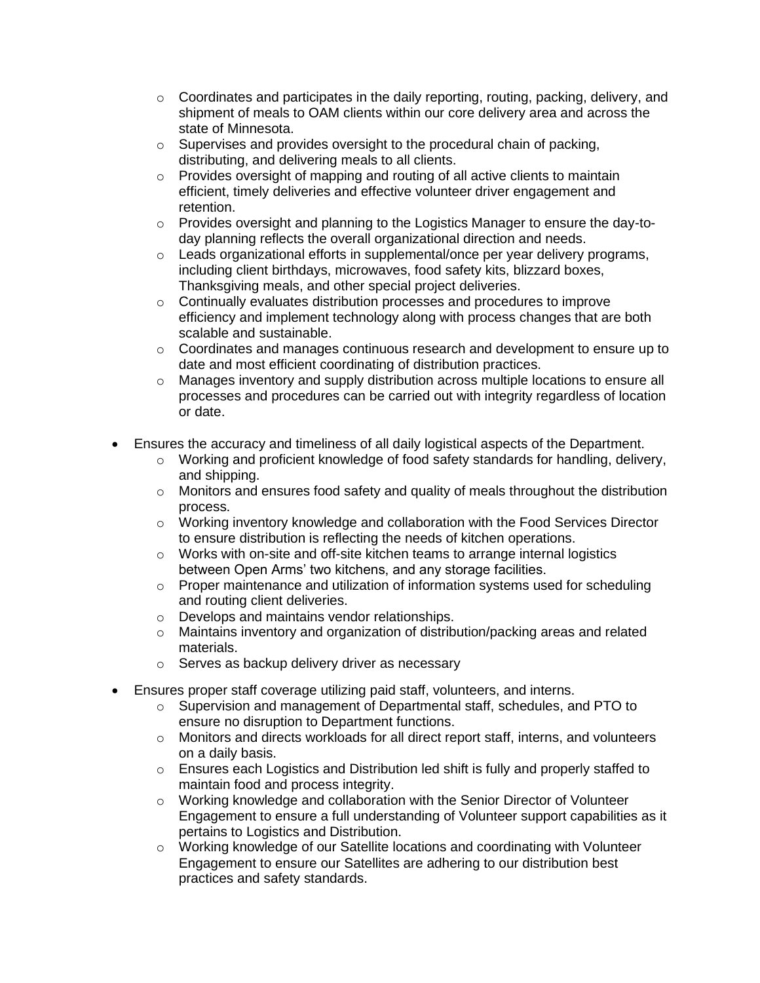- $\circ$  Coordinates and participates in the daily reporting, routing, packing, delivery, and shipment of meals to OAM clients within our core delivery area and across the state of Minnesota.
- o Supervises and provides oversight to the procedural chain of packing, distributing, and delivering meals to all clients.
- o Provides oversight of mapping and routing of all active clients to maintain efficient, timely deliveries and effective volunteer driver engagement and retention.
- o Provides oversight and planning to the Logistics Manager to ensure the day-today planning reflects the overall organizational direction and needs.
- o Leads organizational efforts in supplemental/once per year delivery programs, including client birthdays, microwaves, food safety kits, blizzard boxes, Thanksgiving meals, and other special project deliveries.
- o Continually evaluates distribution processes and procedures to improve efficiency and implement technology along with process changes that are both scalable and sustainable.
- $\circ$  Coordinates and manages continuous research and development to ensure up to date and most efficient coordinating of distribution practices.
- o Manages inventory and supply distribution across multiple locations to ensure all processes and procedures can be carried out with integrity regardless of location or date.
- Ensures the accuracy and timeliness of all daily logistical aspects of the Department.
	- $\circ$  Working and proficient knowledge of food safety standards for handling, delivery, and shipping.
	- $\circ$  Monitors and ensures food safety and quality of meals throughout the distribution process.
	- $\circ$  Working inventory knowledge and collaboration with the Food Services Director to ensure distribution is reflecting the needs of kitchen operations.
	- o Works with on-site and off-site kitchen teams to arrange internal logistics between Open Arms' two kitchens, and any storage facilities.
	- $\circ$  Proper maintenance and utilization of information systems used for scheduling and routing client deliveries.
	- o Develops and maintains vendor relationships.
	- $\circ$  Maintains inventory and organization of distribution/packing areas and related materials.
	- o Serves as backup delivery driver as necessary
- Ensures proper staff coverage utilizing paid staff, volunteers, and interns.
	- $\circ$  Supervision and management of Departmental staff, schedules, and PTO to ensure no disruption to Department functions.
	- o Monitors and directs workloads for all direct report staff, interns, and volunteers on a daily basis.
	- $\circ$  Ensures each Logistics and Distribution led shift is fully and properly staffed to maintain food and process integrity.
	- $\circ$  Working knowledge and collaboration with the Senior Director of Volunteer Engagement to ensure a full understanding of Volunteer support capabilities as it pertains to Logistics and Distribution.
	- o Working knowledge of our Satellite locations and coordinating with Volunteer Engagement to ensure our Satellites are adhering to our distribution best practices and safety standards.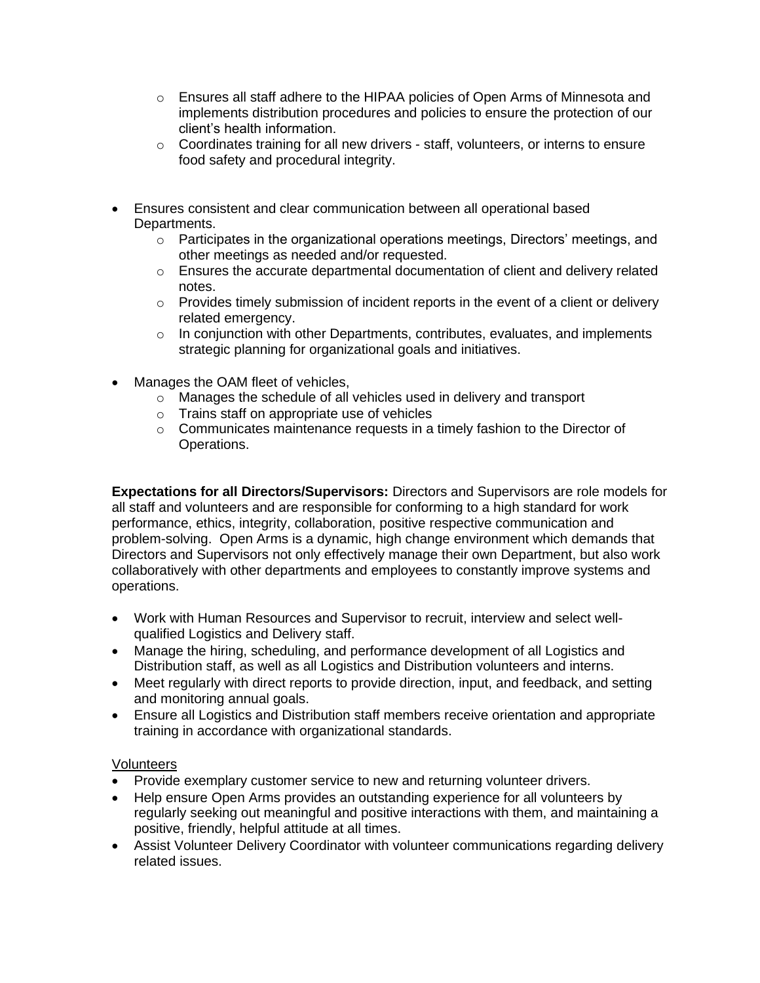- o Ensures all staff adhere to the HIPAA policies of Open Arms of Minnesota and implements distribution procedures and policies to ensure the protection of our client's health information.
- $\circ$  Coordinates training for all new drivers staff, volunteers, or interns to ensure food safety and procedural integrity.
- Ensures consistent and clear communication between all operational based Departments.
	- $\circ$  Participates in the organizational operations meetings, Directors' meetings, and other meetings as needed and/or requested.
	- $\circ$  Ensures the accurate departmental documentation of client and delivery related notes.
	- $\circ$  Provides timely submission of incident reports in the event of a client or delivery related emergency.
	- $\circ$  In conjunction with other Departments, contributes, evaluates, and implements strategic planning for organizational goals and initiatives.
- Manages the OAM fleet of vehicles,
	- o Manages the schedule of all vehicles used in delivery and transport
	- o Trains staff on appropriate use of vehicles
	- $\circ$  Communicates maintenance requests in a timely fashion to the Director of Operations.

**Expectations for all Directors/Supervisors:** Directors and Supervisors are role models for all staff and volunteers and are responsible for conforming to a high standard for work performance, ethics, integrity, collaboration, positive respective communication and problem-solving. Open Arms is a dynamic, high change environment which demands that Directors and Supervisors not only effectively manage their own Department, but also work collaboratively with other departments and employees to constantly improve systems and operations.

- Work with Human Resources and Supervisor to recruit, interview and select wellqualified Logistics and Delivery staff.
- Manage the hiring, scheduling, and performance development of all Logistics and Distribution staff, as well as all Logistics and Distribution volunteers and interns.
- Meet regularly with direct reports to provide direction, input, and feedback, and setting and monitoring annual goals.
- Ensure all Logistics and Distribution staff members receive orientation and appropriate training in accordance with organizational standards.

## Volunteers

- Provide exemplary customer service to new and returning volunteer drivers.
- Help ensure Open Arms provides an outstanding experience for all volunteers by regularly seeking out meaningful and positive interactions with them, and maintaining a positive, friendly, helpful attitude at all times.
- Assist Volunteer Delivery Coordinator with volunteer communications regarding delivery related issues.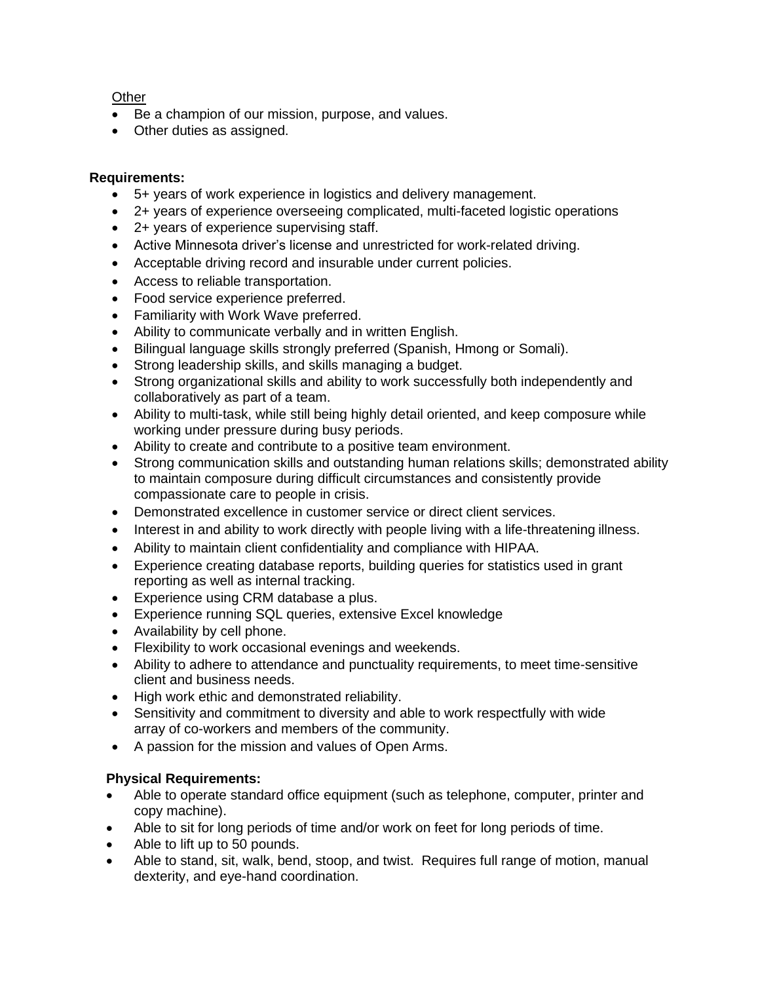# **Other**

- Be a champion of our mission, purpose, and values.
- Other duties as assigned.

## **Requirements:**

- 5+ years of work experience in logistics and delivery management.
- 2+ years of experience overseeing complicated, multi-faceted logistic operations
- 2+ years of experience supervising staff.
- Active Minnesota driver's license and unrestricted for work-related driving.
- Acceptable driving record and insurable under current policies.
- Access to reliable transportation.
- Food service experience preferred.
- Familiarity with Work Wave preferred.
- Ability to communicate verbally and in written English.
- Bilingual language skills strongly preferred (Spanish, Hmong or Somali).
- Strong leadership skills, and skills managing a budget.
- Strong organizational skills and ability to work successfully both independently and collaboratively as part of a team.
- Ability to multi-task, while still being highly detail oriented, and keep composure while working under pressure during busy periods.
- Ability to create and contribute to a positive team environment.
- Strong communication skills and outstanding human relations skills; demonstrated ability to maintain composure during difficult circumstances and consistently provide compassionate care to people in crisis.
- Demonstrated excellence in customer service or direct client services.
- Interest in and ability to work directly with people living with a life-threatening illness.
- Ability to maintain client confidentiality and compliance with HIPAA.
- Experience creating database reports, building queries for statistics used in grant reporting as well as internal tracking.
- Experience using CRM database a plus.
- Experience running SQL queries, extensive Excel knowledge
- Availability by cell phone.
- Flexibility to work occasional evenings and weekends.
- Ability to adhere to attendance and punctuality requirements, to meet time-sensitive client and business needs.
- High work ethic and demonstrated reliability.
- Sensitivity and commitment to diversity and able to work respectfully with wide array of co-workers and members of the community.
- A passion for the mission and values of Open Arms.

## **Physical Requirements:**

- Able to operate standard office equipment (such as telephone, computer, printer and copy machine).
- Able to sit for long periods of time and/or work on feet for long periods of time.
- Able to lift up to 50 pounds.
- Able to stand, sit, walk, bend, stoop, and twist. Requires full range of motion, manual dexterity, and eye-hand coordination.